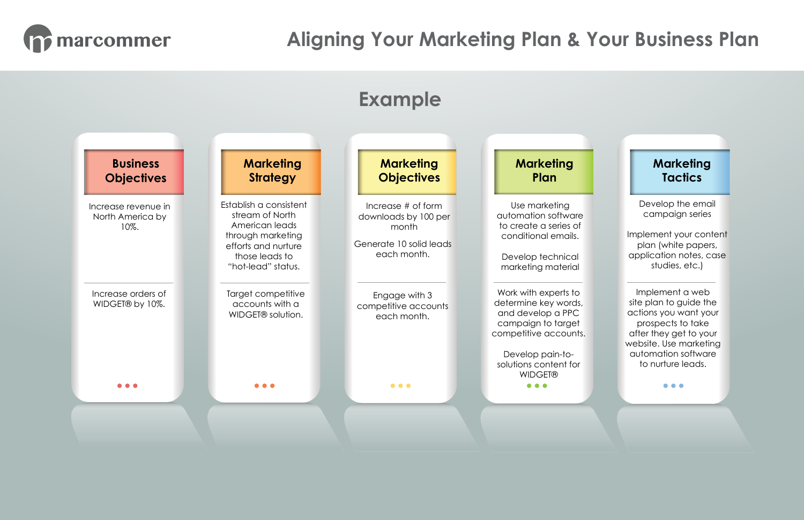Develop the email campaign series

Implement your content plan (white papers, application notes, case studies, etc.)



Implement a web site plan to guide the actions you want your prospects to take after they get to your website. Use marketing automation software to nurture leads.

 $\bullet\bullet\bullet$ 

## **Marketing Tactics**



## **marcommer Aligning Your Marketing Plan & Your Business Plan**